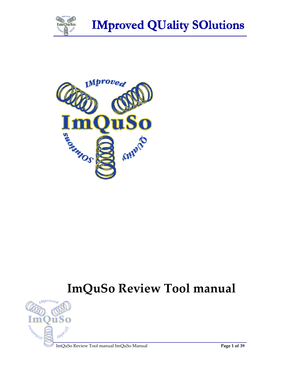



# **ImQuSo Review Tool manual**



ImQuSo Review Tool manual ImQuSo Manual **Page 1 of 39**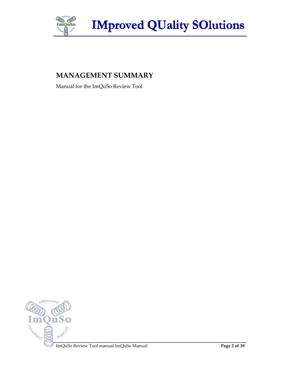



# **MANAGEMENT SUMMARY**

Manual for the ImQuSo Review Tool

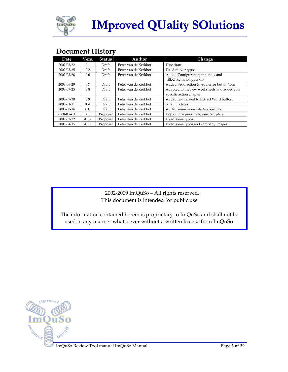

# **Document History**

| <b>Date</b> | Vers. | <b>Status</b> | Author               | Change                                       |  |  |
|-------------|-------|---------------|----------------------|----------------------------------------------|--|--|
| 2002/03/22  | 0.1   | Draft         | Peter van de Kerkhof | First draft                                  |  |  |
| 2002/03/25  | 0.2   | Draft         | Peter van de Kerkhof | Fixed miNor typos                            |  |  |
| 2002/03/26  | 0.6   | Draft         | Peter van de Kerkhof | Added Configuration appendix and             |  |  |
|             |       |               |                      | filled scenario appendix                     |  |  |
| 2003-06-29  | 0.7   | Draft         | Peter van de Kerkhof | Added: Add action & Add error button/form    |  |  |
| 2003-07-25  | 0.8   | Draft         | Peter van de Kerkhof | Adapted to the new worksheets and added role |  |  |
|             |       |               |                      | specific action chapter                      |  |  |
| 2003-07-30  | 0.9   | Draft         | Peter van de Kerkhof | Added text related to Extract Word button.   |  |  |
| 2005-01-11  | 0.A   | Draft         | Peter van de Kerkhof | Small updates                                |  |  |
| 2005-08-16  | 0.B   | Draft         | Peter van de Kerkhof | Added some more info to appendix             |  |  |
| 2008-05--11 | 4.1   | Proposal      | Peter van de Kerkhof | Layout changes due to new template.          |  |  |
| 2009-02-22  | 4.1.2 | Proposal      | Peter van de Kerkhof | Fixed some typos.                            |  |  |
| 2009-04-15  | 4.1.3 | Proposal      | Peter van de Kerkhof | Fixed some typos and company images          |  |  |

 2002-2009 ImQuSo – All rights reserved. This document is intended for public use

The information contained herein is proprietary to ImQuSo and shall not be used in any manner whatsoever without a written license from ImQuSo.



ImQuSo Review Tool manual ImQuSo Manual **Page 3 of 39**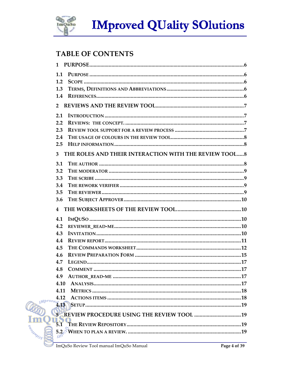

# **TABLE OF CONTENTS**

| 1.1                |                                                                                                                              |  |
|--------------------|------------------------------------------------------------------------------------------------------------------------------|--|
| 1.2                |                                                                                                                              |  |
| 1.3                |                                                                                                                              |  |
| 1.4                |                                                                                                                              |  |
| $\overline{2}$     |                                                                                                                              |  |
| 2.1                |                                                                                                                              |  |
| 2.2                |                                                                                                                              |  |
| 2.3                |                                                                                                                              |  |
| 2.4                |                                                                                                                              |  |
| 2.5                |                                                                                                                              |  |
| 3                  | THE ROLES AND THEIR INTERACTION WITH THE REVIEW TOOL8                                                                        |  |
| 3.1                |                                                                                                                              |  |
| 3.2                |                                                                                                                              |  |
| 3.3                |                                                                                                                              |  |
| 3.4                |                                                                                                                              |  |
| 3.5                |                                                                                                                              |  |
| 3.6                |                                                                                                                              |  |
| 4                  |                                                                                                                              |  |
| 4.1                |                                                                                                                              |  |
| 4.2                |                                                                                                                              |  |
| 4.3                |                                                                                                                              |  |
| 4.4                |                                                                                                                              |  |
| 4.5                |                                                                                                                              |  |
| 4.6                |                                                                                                                              |  |
| 4.7                |                                                                                                                              |  |
| 4.8                |                                                                                                                              |  |
| 4.9                |                                                                                                                              |  |
| 4.10               |                                                                                                                              |  |
| 4.11               |                                                                                                                              |  |
| 4.12               |                                                                                                                              |  |
| <i><b>Mpro</b></i> | 4.13                                                                                                                         |  |
|                    |                                                                                                                              |  |
| 5.7                |                                                                                                                              |  |
|                    |                                                                                                                              |  |
| SOUTH OS<br>ΩV     |                                                                                                                              |  |
|                    | $-$ T <sub>r</sub> $-1$ and $   1$ $\overline{1}$ and $\overline{O}$ and $ \overline{1}$ $\overline{1}$ $  \overline{1}$ $-$ |  |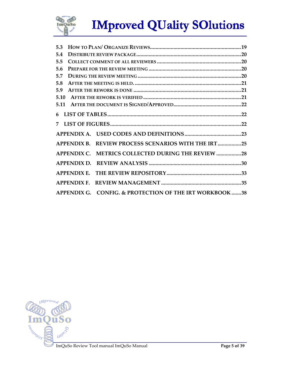

| 5.3  |                                                        |  |
|------|--------------------------------------------------------|--|
| 5.4  |                                                        |  |
| 5.5  |                                                        |  |
| 5.6  |                                                        |  |
| 5.7  |                                                        |  |
| 5.8  |                                                        |  |
| 5.9  |                                                        |  |
| 5.10 |                                                        |  |
| 5.11 |                                                        |  |
|      |                                                        |  |
|      |                                                        |  |
|      |                                                        |  |
|      | APPENDIX B. REVIEW PROCESS SCENARIOS WITH THE IRT25    |  |
|      | APPENDIX C. METRICS COLLECTED DURING THE REVIEW 28     |  |
|      |                                                        |  |
|      |                                                        |  |
|      | <b>APPENDIX F.</b>                                     |  |
|      | APPENDIX G. CONFIG. & PROTECTION OF THE IRT WORKBOOK38 |  |

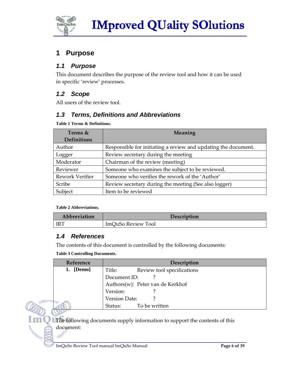

# **1 Purpose**

### **1.1 Purpose**

This document describes the purpose of the review tool and how it can be used in specific 'review' processes.

### **1.2 Scope**

All users of the review tool.

### **1.3 Terms, Definitions and Abbreviations**

**Table 1 Terms & Definitions.** 

| Terms &            | Meaning                                                        |  |  |  |  |
|--------------------|----------------------------------------------------------------|--|--|--|--|
| <b>Definitions</b> |                                                                |  |  |  |  |
| Author             | Responsible for initiating a review and updating the document. |  |  |  |  |
| Logger             | Review secretary during the meeting                            |  |  |  |  |
| Moderator          | Chairman of the review (meeting)                               |  |  |  |  |
| Reviewer           | Someone who examines the subject to be reviewed.               |  |  |  |  |
| Rework Verifier    | Someone who verifies the rework of the 'Author'                |  |  |  |  |
| Scribe             | Review secretary during the meeting (See also logger)          |  |  |  |  |
| Subject            | Item to be reviewed                                            |  |  |  |  |

#### **Table 2 Abbreviations.**

| Abbreviation |                    | Description |
|--------------|--------------------|-------------|
| IRT          | ImQuSo Review Tool |             |

#### **1.4 References**

*Mprot* 

SOUNDAY

The contents of this document is controlled by the following documents:

**Table 3 Controlling Documents.** 

| Reference | Description                          |
|-----------|--------------------------------------|
| 1. [Demo] | Review tool specifications<br>Title: |
|           | Document ID:                         |
|           | Authors(w): Peter van de Kerkhof     |
|           | Version:                             |
|           | Version Date:                        |
| 'd        | To be written<br>Status:             |

The following documents supply information to support the contents of this document:<br>sin<sup>po</sup>

ImQuSo Review Tool manual ImQuSo Manual **Page 6 of 39 Page 6 of 39**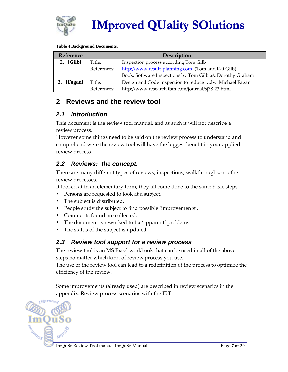

#### **Table 4 Background Documents.**

| Reference         | <b>Description</b> |                                                          |  |  |
|-------------------|--------------------|----------------------------------------------------------|--|--|
| 2. $[Gilb]$       | Title:             | Inspection process according Tom Gilb                    |  |  |
|                   | References:        | http://www.result-planning.com (Tom and Kai Gilb)        |  |  |
|                   |                    | Book: Software Inspections by Tom Gilb a& Dorothy Graham |  |  |
| [Fagan]<br>Title: |                    | Design and Code inspection to reduce by Michael Fagan    |  |  |
|                   | References:        | http://www.research.ibm.com/journal/sj38-23.html         |  |  |

### **2 Reviews and the review tool**

### **2.1 Introduction**

This document is the review tool manual, and as such it will not describe a review process.

However some things need to be said on the review process to understand and comprehend were the review tool will have the biggest benefit in your applied review process.

### **2.2 Reviews: the concept.**

There are many different types of reviews, inspections, walkthroughs, or other review processes.

If looked at in an elementary form, they all come done to the same basic steps.

- Persons are requested to look at a subject.
- The subject is distributed.
- People study the subject to find possible 'improvements'.
- Comments found are collected.
- The document is reworked to fix 'apparent' problems.
- The status of the subject is updated.

#### **2.3 Review tool support for a review process**

The review tool is an MS Excel workbook that can be used in all of the above steps no matter which kind of review process you use.

The use of the review tool can lead to a redefinition of the process to optimize the efficiency of the review.

Some improvements (already used) are described in review scenarios in the appendix: Review process scenarios with the IRT

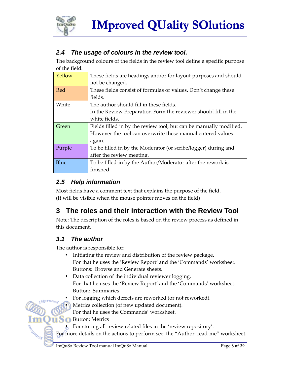

# **2.4 The usage of colours in the review tool.**

The background colours of the fields in the review tool define a specific purpose of the field.

| Yellow | These fields are headings and/or for layout purposes and should    |
|--------|--------------------------------------------------------------------|
|        | not be changed.                                                    |
| Red    | These fields consist of formulas or values. Don't change these     |
|        | fields.                                                            |
| White  | The author should fill in these fields.                            |
|        | In the Review Preparation Form the reviewer should fill in the     |
|        | white fields.                                                      |
| Green  | Fields filled in by the review tool, but can be manually modified. |
|        | However the tool can overwrite these manual entered values         |
|        | again.                                                             |
| Purple | To be filled in by the Moderator (or scribe/logger) during and     |
|        | after the review meeting.                                          |
| Blue   | To be filled-in by the Author/Moderator after the rework is        |
|        | finished.                                                          |

### **2.5 Help information**

Most fields have a comment text that explains the purpose of the field. (It will be visible when the mouse pointer moves on the field)

# **3 The roles and their interaction with the Review Tool**

Note: The description of the roles is based on the review process as defined in this document.

### **3.1 The author**

The author is responsible for:

- Initiating the review and distribution of the review package. For that he uses the 'Review Report' and the 'Commands' worksheet. Buttons: Browse and Generate sheets.
- Data collection of the individual reviewer logging. For that he uses the 'Review Report' and the 'Commands' worksheet. Button: Summaries
- For logging which defects are reworked (or not reworked).
- Metrics collection (of new updated document).

For that he uses the Commands' worksheet.

Button: Metrics

ASSESSMENT OS

• For storing all review related files in the 'review repository'.

For more details on the actions to perform see: the "Author\_read-me" worksheet.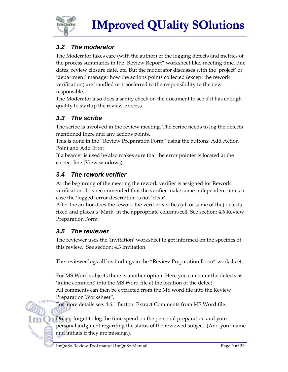

# **3.2 The moderator**

The Moderator takes care (with the author) of the logging defects and metrics of the process summaries in the 'Review Report" worksheet like, meeting time, due dates, review closure date, etc. But the moderator discusses with the 'project' or 'department' manager how the actions points collected (except the rework verification) are handled or transferred to the responsibility to the new responsible.

The Moderator also does a sanity check on the document to see if it has enough quality to startup the review process.

### **3.3 The scribe**

The scribe is involved in the review meeting. The Scribe needs to log the defects mentioned there and any actions points.

This is done in the "Review Preparation Form" using the buttons: Add Action Point and Add Error.

If a beamer is used he also makes sure that the error pointer is located at the correct line (View windows).

### **3.4 The rework verifier**

At the beginning of the meeting the rework verifier is assigned for Rework verification. It is recommended that the verifier make some independent notes in case the 'logged' error description is not 'clear'.

After the author does the rework the verifier verifies (all or some of the) defects fixed and places a 'Mark' in the appropriate column/cell. See section: 4.6 Review Preparation Form

### **3.5 The reviewer**

The reviewer uses the 'Invitation' worksheet to get informed on the specifics of this review. See section: 4.3 Invitation

The reviewer logs all his findings in the "Review Preparation Form" worksheet.

For MS Word subjects there is another option. Here you can enter the defects as 'inline comment' into the MS Word file at the location of the defect. All comments can then be extracted from the MS word file into the Review

Preparation Worksheet".

ARIANOS

For more details see: 4.6.1 Button: Extract Comments from MS Word file.

Do not forget to log the time spend on the personal preparation and your personal judgment regarding the status of the reviewed subject. (And your name and initials if they are missing.).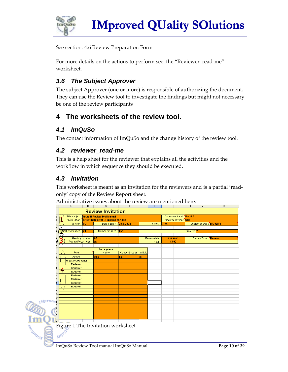

See section: 4.6 Review Preparation Form

For more details on the actions to perform see: the "Reviewer\_read-me" worksheet.

### **3.6 The Subject Approver**

The subject Approver (one or more) is responsible of authorizing the document. They can use the Review tool to investigate the findings but might not necessary be one of the review participants

# **4 The worksheets of the review tool.**

### **4.1 ImQuSo**

The contact information of ImQuSo and the change history of the review tool.

#### **4.2 reviewer\_read-me**

This is a help sheet for the reviewer that explains all the activities and the workflow in which sequence they should be executed.

### **4.3 Invitation**

This worksheet is meant as an invitation for the reviewers and is a partial 'readonly' copy of the Review Report sheet.

Administrative issues about the review are mentioned here.

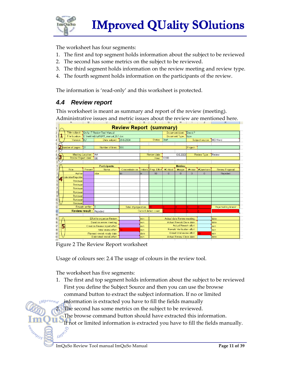

The worksheet has four segments:

- 1. The first and top segment holds information about the subject to be reviewed
- 2. The second has some metrics on the subject to be reviewed.
- 3. The third segment holds information on the review meeting and review type.
- 4. The fourth segment holds information on the participants of the review.

The information is 'read-only' and this worksheet is protected.

### **4.4 Review report**

This worksheet is meant as summary and report of the review (meeting). Administrative issues and metric issues about the review are mentioned here.

|                 |                                | A                                                                        | Б                              | U                                  | D                      | E               |                        | G                       | н                                 |         | J                | Κ                      |
|-----------------|--------------------------------|--------------------------------------------------------------------------|--------------------------------|------------------------------------|------------------------|-----------------|------------------------|-------------------------|-----------------------------------|---------|------------------|------------------------|
| 1               | <b>Review Report (summary)</b> |                                                                          |                                |                                    |                        |                 |                        |                         |                                   |         |                  |                        |
|                 |                                | Title subject : QnAp iT Review Tool Manual<br>Docid:?<br>Document ident: |                                |                                    |                        |                 |                        |                         |                                   |         |                  |                        |
| $\frac{2}{4}$   |                                | <b>File location</b>                                                     |                                | C:\kerkhofp\grt\QRT_manual_0.7.doc |                        |                 |                        |                         | Document Type:                    | type    |                  |                        |
|                 |                                | Version: 0.7                                                             |                                | Date subject: 29-6-2004            |                        |                 | Status:                | Draft                   |                                   |         | Subject source : | <b>IMS</b> Word        |
| 5               |                                |                                                                          |                                |                                    |                        |                 |                        |                         |                                   |         |                  |                        |
| 5               |                                | Number of pages: 21                                                      |                                | Number of lines :                  | 855                    |                 |                        |                         |                                   | Project |                  |                        |
| $\frac{1}{7}$   |                                |                                                                          |                                |                                    |                        |                 |                        |                         |                                   |         |                  |                        |
|                 |                                |                                                                          | Meeting Location:              | <b>AA</b>                          |                        |                 | Review date            |                         | 5-5-2003                          |         | Review Type:     | Review                 |
| 3<br>3          |                                | Review Report ident:                                                     |                                | BB                                 |                        |                 | Hour                   | 13:00                   |                                   |         |                  |                        |
| $\overline{0}$  |                                |                                                                          |                                |                                    |                        |                 |                        |                         |                                   |         |                  |                        |
| $\mathbf{1}$    |                                |                                                                          |                                | <b>Participants:</b>               |                        |                 |                        |                         | <b>Metrics:</b>                   |         |                  |                        |
| $\frac{2}{3}$   |                                | Role                                                                     | Present                        | Name                               | Concentrate on         | <b>Initials</b> | Prep. Effort           | #Critical               | #major                            | #minor  | #Questions       | <b>Review Proposal</b> |
|                 |                                | Author                                                                   |                                | ikke                               | bb                     | ik              | 10                     | $\Box$                  | $\Box$                            | 0       | $\Omega$         | Rejected               |
|                 |                                | <b>Moderator/Reporter</b>                                                |                                |                                    |                        |                 |                        |                         |                                   |         |                  |                        |
|                 |                                | Reviewer                                                                 |                                |                                    |                        |                 |                        |                         |                                   |         |                  |                        |
|                 |                                | Reviewer                                                                 |                                |                                    |                        |                 |                        |                         |                                   |         |                  |                        |
|                 |                                | Reviewer                                                                 |                                |                                    |                        |                 |                        |                         |                                   |         |                  |                        |
|                 |                                | Reviewer                                                                 |                                |                                    |                        |                 |                        |                         |                                   |         |                  |                        |
|                 |                                | Reviewer                                                                 |                                |                                    |                        |                 |                        |                         |                                   |         |                  |                        |
|                 |                                | Reviewer                                                                 |                                |                                    |                        |                 |                        |                         |                                   |         |                  |                        |
|                 |                                | Reviewer                                                                 |                                |                                    |                        |                 |                        |                         |                                   |         |                  |                        |
| $\overline{2}$  |                                |                                                                          | Rework verifier: 10            |                                    | Total of preparation : |                 | 1Ū.                    |                         | o                                 | o       | $\overline{0}$   | Rejected log linesV    |
|                 |                                |                                                                          | <b>Review result:</b> Rejected |                                    |                        |                 | Current defect count : |                         |                                   |         | ñ                |                        |
| $\frac{13}{14}$ |                                |                                                                          |                                |                                    |                        |                 |                        |                         |                                   |         |                  |                        |
| 15 16 17        |                                |                                                                          |                                | Effort to organise Review:         |                        | Imin            |                        |                         | Actual date Review meeting        |         |                  | date                   |
|                 | Duration review meeting:       |                                                                          |                                |                                    | min                    |                 |                        | Actual Rework Done date |                                   |         | date             |                        |
|                 |                                | 5                                                                        |                                | Creation Review report effort :    |                        | min             |                        |                         | Actual Rework effort              |         |                  | lmin                   |
| 0 8 8 9         |                                |                                                                          |                                | total review effort :              | îΩ                     | min             |                        |                         | <b>Rework Verification effort</b> |         |                  | min                    |
|                 |                                |                                                                          |                                | Planned rework ready date          |                        | date            |                        |                         | Grand total review effort         |         | ١n               | min                    |
|                 |                                |                                                                          |                                | Estimated rework effort :          |                        | min             |                        |                         | Actual Review Close date          |         |                  | date                   |

Figure 2 The Review Report worksheet

Usage of colours see: 2.4 The usage of colours in the review tool.

The worksheet has five segments:

- 1. The first and top segment holds information about the subject to be reviewed First you define the Subject Source and then you can use the browse command button to extract the subject information. If no or limited
	- information is extracted you have to fill the fields manually
	- The second has some metrics on the subject to be reviewed.

The browse command button should have extracted this information.

If not or limited information is extracted you have to fill the fields manually.<br> $\omega$ 

SOUNDAY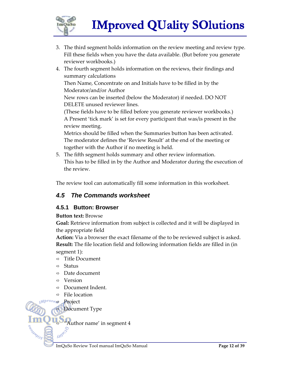

- 3. The third segment holds information on the review meeting and review type. Fill these fields when you have the data available. (But before you generate reviewer workbooks.)
- 4. The fourth segment holds information on the reviews, their findings and summary calculations Then Name, Concentrate on and Initials have to be filled in by the Moderator/and/or Author New rows can be inserted (below the Moderator) if needed. DO NOT DELETE unused reviewer lines. (These fields have to be filled before you generate reviewer workbooks.) A Present 'tick mark' is set for every participant that was/is present in the review meeting. Metrics should be filled when the Summaries button has been activated. The moderator defines the 'Review Result' at the end of the meeting or

together with the Author if no meeting is held.

5. The fifth segment holds summary and other review information. This has to be filled in by the Author and Moderator during the execution of the review.

The review tool can automatically fill some information in this worksheet.

### **4.5 The Commands worksheet**

#### **4.5.1 Button: Browser**

**Button text:** Browse

**Goal:** Retrieve information from subject is collected and it will be displayed in the appropriate field

**Action:** Via a browser the exact filename of the to be reviewed subject is asked. **Result:** The file location field and following information fields are filled in (in segment 1):

- $\Rightarrow$  Title Document
- $Arr$  Status
- $\Rightarrow$  Date document
- $\Rightarrow$  Version
- $\Rightarrow$  Document Indent.
- $\Rightarrow$  File location

 $M^{prove}$  Project

ASSANDS

**Document Type** 

"Author name' in segment 4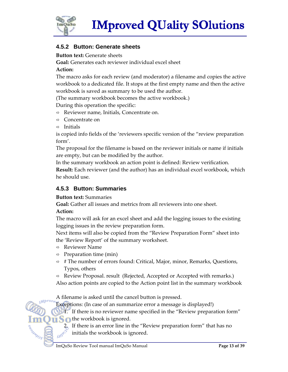

#### **4.5.2 Button: Generate sheets**

**Button text:** Generate sheets

**Goal:** Generates each reviewer individual excel sheet

#### **Action:**

The macro asks for each review (and moderator) a filename and copies the active workbook to a dedicated file. It stops at the first empty name and then the active workbook is saved as summary to be used the author.

(The summary workbook becomes the active workbook.)

During this operation the specific:

- $\Rightarrow$  Reviewer name, Initials, Concentrate on.
- $\Rightarrow$  Concentrate on
- $\Rightarrow$  Initials

is copied info fields of the 'reviewers specific version of the "review preparation form'.

The proposal for the filename is based on the reviewer initials or name if initials are empty, but can be modified by the author.

In the summary workbook an action point is defined: Review verification.

**Result:** Each reviewer (and the author) has an individual excel workbook, which he should use.

#### **4.5.3 Button: Summaries**

#### **Button text:** Summaries

**Goal:** Gather all issues and metrics from all reviewers into one sheet.

#### **Action:**

SOUNDED S

The macro will ask for an excel sheet and add the logging issues to the existing logging issues in the review preparation form.

Next items will also be copied from the "Review Preparation Form" sheet into the 'Review Report' of the summary worksheet.

- $\Rightarrow$  Reviewer Name
- $\Rightarrow$  Preparation time (min)
- $\Rightarrow$  # The number of errors found: Critical, Major, minor, Remarks, Questions, Typos, others
- $\Rightarrow$  Review Proposal. result (Rejected, Accepted or Accepted with remarks.)
- Also action points are copied to the Action point list in the summary workbook

A filename is asked until the cancel button is pressed.

Exceptions: (In case of an summarize error a message is displayed!)

1. If there is no reviewer name specified in the "Review preparation form" **the workbook is ignored.** 

2. If there is an error line in the "Review preparation form" that has no initials the workbook is ignored.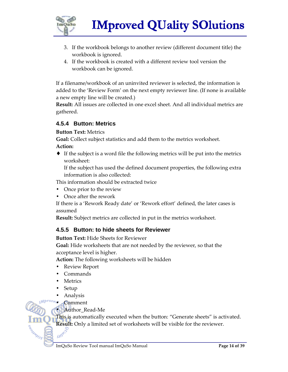

- 3. If the workbook belongs to another review (different document title) the workbook is ignored.
- 4. If the workbook is created with a different review tool version the workbook can be ignored.

If a filename/workbook of an uninvited reviewer is selected, the information is added to the 'Review Form' on the next empty reviewer line. (If none is available a new empty line will be created.)

**Result:** All issues are collected in one excel sheet. And all individual metrics are gathered.

#### **4.5.4 Button: Metrics**

**Button Text:** Metrics

**Goal:** Collect subject statistics and add them to the metrics worksheet.

#### **Action:**

♦ If the subject is a word file the following metrics will be put into the metrics worksheet:

If the subject has used the defined document properties, the following extra information is also collected:

This information should be extracted twice

- Once prior to the review
- Once after the rework

If there is a 'Rework Ready date' or 'Rework effort' defined, the later cases is assumed

**Result:** Subject metrics are collected in put in the metrics worksheet.

#### **4.5.5 Button: to hide sheets for Reviewer**

**Button Text:** Hide Sheets for Reviewer

**Goal:** Hide worksheets that are not needed by the reviewer, so that the acceptance level is higher.

**Action:** The following worksheets will be hidden

- Review Report
- Commands
- Metrics
- Setup

SOUNDS

• Analysis

**Comment** 

• Author Read-Me

This is automatically executed when the button: "Generate sheets" is activated. **Result:** Only a limited set of worksheets will be visible for the reviewer.<br> **Allocated**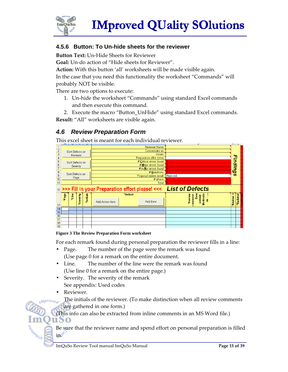

#### **4.5.6 Button: To Un-hide sheets for the reviewer**

**Button Text:** Un-Hide Sheets for Reviewer

**Goal:** Un-do action of "Hide sheets for Reviewer".

**Action:** With this button 'all' worksheets will be made visible again.

In the case that you need this functionality the worksheet "Commands" will probably NOT be visible.

There are two options to execute:

- 1. Un-hide the worksheet "Commands" using standard Excel commands and then execute this command.
- 2. Execute the macro "Button UnHide" using standard Excel commands.

**Result:** "All" worksheets are visible again.

### **4.6 Review Preparation Form**

This excel sheet is meant for each individual reviewer.

|                | n               |                 |          |           |                 |                                   | u.                                         | $\mathbf{N}$ | L        |
|----------------|-----------------|-----------------|----------|-----------|-----------------|-----------------------------------|--------------------------------------------|--------------|----------|
|                |                 |                 |          |           |                 | Reviewer Name                     |                                            |              |          |
| $\overline{2}$ | Sort Defects on |                 |          |           |                 | Concentrate on:                   |                                            |              |          |
| 3              |                 | Reviewer        |          |           |                 | <b>Initials</b>                   |                                            |              |          |
| $\sqrt{4}$     |                 |                 |          |           |                 | Preparation effort (min) :        |                                            |              |          |
| 5              |                 | Sort Defects on |          |           |                 | # Critical errors found: 0        |                                            |              |          |
| 6              |                 | Severity        |          |           |                 | # Major errors found : 0          |                                            |              |          |
| $\overline{7}$ |                 |                 |          |           |                 | # miNor errors found : 0          |                                            |              |          |
|                |                 |                 |          |           |                 | # Questions :                     |                                            | Findings     |          |
| $\frac{8}{9}$  |                 | Sort Defects on |          |           |                 | Proposal review result : Rejected |                                            |              |          |
| 10             |                 | Page            |          |           |                 | # others:                         |                                            |              |          |
| 11             |                 |                 |          |           |                 | Total:                            |                                            |              |          |
|                |                 |                 |          |           |                 |                                   |                                            |              |          |
| 12             |                 |                 |          |           |                 |                                   |                                            |              |          |
|                | *Page           | °Line           | Severity | *Initials | *Defect         |                                   | *Review<br>$rac{8}{10}$                    | ō            | *Updated |
|                |                 |                 |          |           |                 |                                   | Motivatio<br>comment<br>solved<br><u>m</u> | Review       |          |
|                |                 |                 |          |           | Add Action Item | Add Error                         |                                            |              |          |
| 13             |                 |                 |          |           |                 |                                   |                                            |              |          |
| 14             |                 |                 |          |           |                 |                                   |                                            |              |          |
| 15             |                 |                 |          |           |                 |                                   |                                            |              |          |
|                |                 |                 |          |           |                 |                                   |                                            |              |          |
| 16             |                 |                 |          |           |                 |                                   |                                            |              |          |
| 17             |                 |                 |          |           |                 |                                   |                                            |              |          |
| 18             |                 |                 |          |           |                 |                                   |                                            |              |          |

#### **Figure 3 The Review Preparation Form worksheet**

For each remark found during personal preparation the reviewer fills in a line:

- Page. The number of the page were the remark was found (Use page 0 for a remark on the entire document.
- Line. The number of the line were the remark was found (Use line 0 for a remark on the entire page.)
- Severity. The severity of the remark See appendix: Used codes
- Reviewer.

uso

ROAMMOS

The initials of the reviewer. (To make distinction when all review comments  $Mprove<sub>ex</sub>$ are gathered in one form.)

(This info can also be extracted from inline comments in an MS Word file.)

Be sure that the reviewer name and spend effort on personal preparation is filled in.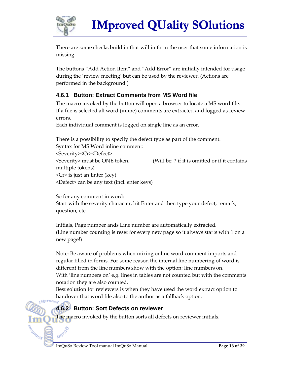

There are some checks build in that will in form the user that some information is missing.

The buttons "Add Action Item" and "Add Error" are initially intended for usage during the 'review meeting' but can be used by the reviewer. (Actions are performed in the background!)

### **4.6.1 Button: Extract Comments from MS Word file**

The macro invoked by the button will open a browser to locate a MS word file. If a file is selected all word (inline) comments are extracted and logged as review errors.

Each individual comment is logged on single line as an error.

There is a possibility to specify the defect type as part of the comment. Syntax for MS Word inline comment: <Severity><Cr><Defect> <Severity> must be ONE token. (Will be: ? if it is omitted or if it contains multiple tokens) <Cr> is just an Enter (key) <Defect> can be any text (incl. enter keys)

So for any comment in word: Start with the severity character, hit Enter and then type your defect, remark, question, etc.

Initials, Page number ands Line number are automatically extracted. (Line number counting is reset for every new page so it always starts with 1 on a new page!)

Note: Be aware of problems when mixing online word comment imports and regular filled in forms. For some reason the internal line numbering of word is different from the line numbers show with the option: line numbers on. With 'line numbers on' e.g. lines in tables are not counted but with the comments notation they are also counted.

Best solution for reviewers is when they have used the word extract option to handover that word file also to the author as a fallback option.

### **4.6.2 Button: Sort Defects on reviewer**

The macro invoked by the button sorts all defects on reviewer initials.

SOUND OF

Sumo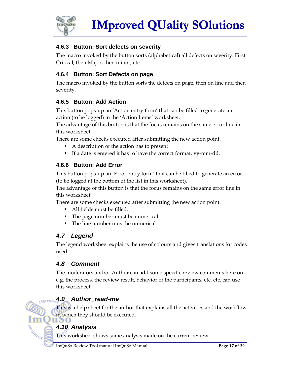

### **4.6.3 Button: Sort defects on severity**

The macro invoked by the button sorts (alphabetical) all defects on severity. First Critical, then Major, then minor, etc.

### **4.6.4 Button: Sort Defects on page**

The macro invoked by the button sorts the defects on page, then on line and then severity.

### **4.6.5 Button: Add Action**

This button pops-up an 'Action entry form' that can be filled to generate an action (to be logged) in the 'Action Items' worksheet.

The advantage of this button is that the focus remains on the same error line in this worksheet.

There are some checks executed after submitting the new action point.

- A description of the action has to present
- If a date is entered it has to have the correct format. yy-mm-dd.

### **4.6.6 Button: Add Error**

This button pops-up an 'Error entry form' that can be filled to generate an error (to be logged at the bottom of the list in this worksheet).

The advantage of this button is that the focus remains on the same error line in this worksheet.

There are some checks executed after submitting the new action point.

- All fields must be filled.
- The page number must be numerical.
- The line number must be numerical.

# **4.7 Legend**

The legend worksheet explains the use of colours and gives translations for codes used.

### **4.8 Comment**

The moderators and/or Author can add some specific review comments here on e.g. the process, the review result, behavior of the participants, etc. etc, can use this worksheet.

# **4.9 Author\_read-me**

This is a help sheet for the author that explains all the activities and the workflow in which they should be executed.

### **4.10 Analysis**

 $Mprove$ 

SOUND OF

This worksheet shows some analysis made on the current review.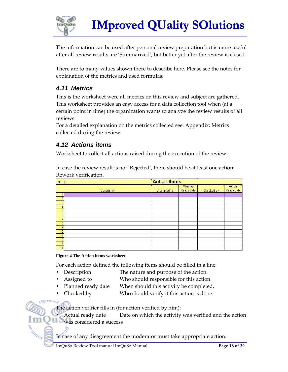

The information can be used after personal review preparation but is more useful after all review results are 'Summarized', but better yet after the review is closed.

There are to many values shown there to describe here. Please see the notes for explanation of the metrics and used formulas.

### **4.11 Metrics**

This is the worksheet were all metrics on this review and subject are gathered. This worksheet provides an easy access for a data collection tool when (at a certain point in time) the organization wants to analyze the review results of all reviews.

For a detailed explanation on the metrics collected see: Appendix: Metrics collected during the review

### **4.12 Actions items**

Worksheet to collect all actions raised during the execution of the review.

In case the review result is not 'Rejected', there should be at least one action: Rework verification.

| Nr. | <b>Action Items</b><br>n |             |                       |            |                      |  |  |  |  |  |
|-----|--------------------------|-------------|-----------------------|------------|----------------------|--|--|--|--|--|
|     | <b>Description</b>       | Assigned to | Planned<br>Ready date | Checked by | Actual<br>Ready date |  |  |  |  |  |
|     |                          |             |                       |            |                      |  |  |  |  |  |
|     |                          |             |                       |            |                      |  |  |  |  |  |
| 3   |                          |             |                       |            |                      |  |  |  |  |  |
|     |                          |             |                       |            |                      |  |  |  |  |  |
| 5   |                          |             |                       |            |                      |  |  |  |  |  |
| 6   |                          |             |                       |            |                      |  |  |  |  |  |
|     |                          |             |                       |            |                      |  |  |  |  |  |
| 8   |                          |             |                       |            |                      |  |  |  |  |  |
| 9   |                          |             |                       |            |                      |  |  |  |  |  |
| 10  |                          |             |                       |            |                      |  |  |  |  |  |
| 11  |                          |             |                       |            |                      |  |  |  |  |  |
| 12  |                          |             |                       |            |                      |  |  |  |  |  |
| 13  |                          |             |                       |            |                      |  |  |  |  |  |
| 14  |                          |             |                       |            |                      |  |  |  |  |  |

#### **Figure 4 The Action items worksheet**

For each action defined the following items should be filled in a line:

- Description The nature and purpose of the action.
- Assigned to **EXECUTE:** Who should responsible for this action.
- Planned ready date When should this activity be completed.
	- Checked by Who should verify if this action is done.

The action verifier fills in (for action verified by him):

• Actual ready date Date on which the activity was verified and the action was considered a success

In case of any disagreement the moderator must take appropriate action.

eogna Os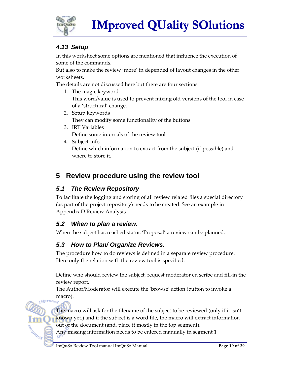

# **4.13 Setup**

In this worksheet some options are mentioned that influence the execution of some of the commands.

But also to make the review 'more' in depended of layout changes in the other worksheets.

The details are not discussed here but there are four sections

- 1. The magic keyword. This word/value is used to prevent mixing old versions of the tool in case of a 'structural' change.
- 2. Setup keywords They can modify some functionality of the buttons
- 3. IRT Variables Define some internals of the review tool
- 4. Subject Info Define which information to extract from the subject (if possible) and where to store it.

# **5 Review procedure using the review tool**

### **5.1 The Review Repository**

To facilitate the logging and storing of all review related files a special directory (as part of the project repository) needs to be created. See an example in Appendix D Review Analysis

### **5.2 When to plan a review.**

When the subject has reached status 'Proposal' a review can be planned.

# **5.3 How to Plan/ Organize Reviews.**

The procedure how to do reviews is defined in a separate review procedure. Here only the relation with the review tool is specified.

Define who should review the subject, request moderator en scribe and fill-in the review report.

The Author/Moderator will execute the 'browse' action (button to invoke a macro).<br>
Where *d* 

The macro will ask for the filename of the subject to be reviewed (only if it isn't known yet.) and if the subject is a word file, the macro will extract information out of the document (and. place it mostly in the top segment).

Any missing information needs to be entered manually in segment 1

SOUNDAY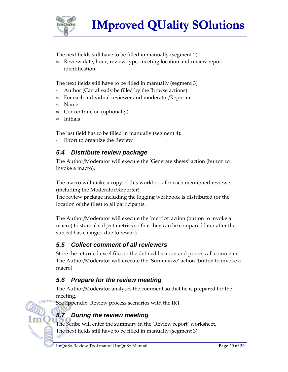

The next fields still have to be filled in manually (segment 2):

 $\Rightarrow$  Review date, hour, review type, meeting location and review report identification.

The next fields still have to be filled in manually (segment 3):

- $\Rightarrow$  Author (Can already be filled by the Browse actions)
- $\Rightarrow$  For each individual reviewer and moderator/Reporter
- $\Rightarrow$  Name
- $\Rightarrow$  Concentrate on (optionally)
- $\Rightarrow$  Initials

The last field has to be filled in manually (segment 4):

 $\Rightarrow$  Effort to organize the Review

### **5.4 Distribute review package**

The Author/Moderator will execute the 'Generate sheets' action (button to invoke a macro).

The macro will make a copy of this workbook for each mentioned reviewer (including the Moderator/Reporter)

The review package including the logging workbook is distributed (or the location of the files) to all participants.

The Author/Moderator will execute the 'metrics' action (button to invoke a macro) to store al subject metrics so that they can be compared later after the subject has changed due to rework.

### **5.5 Collect comment of all reviewers**

Store the returned excel files in the defined location and process all comments. The Author/Moderator will execute the 'Summarize' action (button to invoke a macro).

### **5.6 Prepare for the review meeting**

The Author/Moderator analyses the comment so that he is prepared for the meeting.

See appendix: Review process scenarios with the IRT

# **5.7 During the review meeting**

The Scribe will enter the summary in the 'Review report' worksheet. The next fields still have to be filled in manually (segment 3):

ARIANOS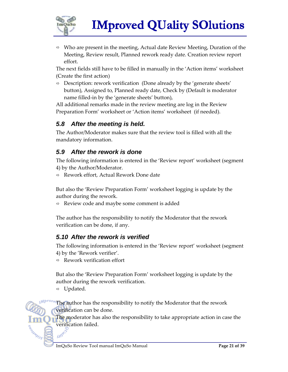

 $\Rightarrow$  Who are present in the meeting, Actual date Review Meeting, Duration of the Meeting, Review result, Planned rework ready date. Creation review report effort.

The next fields still have to be filled in manually in the 'Action items' worksheet (Create the first action)

 $\Rightarrow$  Description: rework verification (Done already by the 'generate sheets' button), Assigned to, Planned ready date, Check by (Default is moderator name filled-in by the 'generate sheets' button),

All additional remarks made in the review meeting are log in the Review Preparation Form' worksheet or 'Action items' worksheet (if needed).

### **5.8 After the meeting is held.**

The Author/Moderator makes sure that the review tool is filled with all the mandatory information.

### **5.9 After the rework is done**

The following information is entered in the 'Review report' worksheet (segment 4) by the Author/Moderator.

 $\Rightarrow$  Rework effort, Actual Rework Done date

But also the 'Review Preparation Form' worksheet logging is update by the author during the rework.

 $\Rightarrow$  Review code and maybe some comment is added

The author has the responsibility to notify the Moderator that the rework verification can be done, if any.

### **5.10 After the rework is verified**

The following information is entered in the 'Review report' worksheet (segment 4) by the 'Rework verifier'.

 $\Rightarrow$  Rework verification effort

But also the 'Review Preparation Form' worksheet logging is update by the author during the rework verification.

 $\Rightarrow$  Updated.

SOUNDAY

The author has the responsibility to notify the Moderator that the rework verification can be done.

The moderator has also the responsibility to take appropriate action in case the verification failed.<br>converted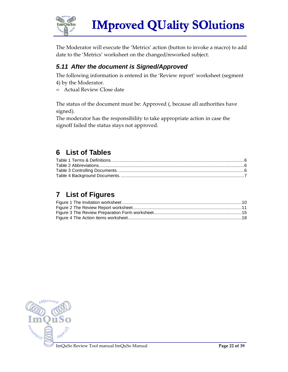

The Moderator will execute the 'Metrics' action (button to invoke a macro) to add date to the 'Metrics' worksheet on the changed/reworked subject.

### **5.11 After the document is Signed/Approved**

The following information is entered in the 'Review report' worksheet (segment 4) by the Moderator.

 $\Rightarrow$  Actual Review Close date

The status of the document must be: Approved (, because all authorities have signed).

The moderator has the responsibility to take appropriate action in case the signoff failed the status stays not approved.

# **6 List of Tables**

# **7 List of Figures**

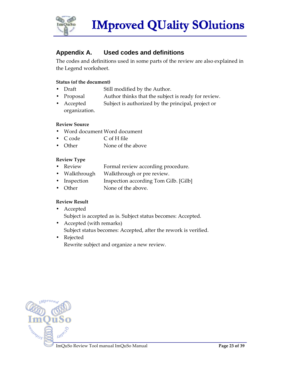

### **Appendix A. Used codes and definitions**

The codes and definitions used in some parts of the review are also explained in the Legend worksheet.

#### **Status (of the document)**

- Draft Still modified by the Author.
- Proposal Author thinks that the subject is ready for review.
- Accepted Subject is authorized by the principal, project or organization.

#### **Review Source**

- Word document Word document
- C code C of H file
- Other None of the above

#### **Review Type**

- Review Formal review according procedure.
- Walkthrough Walkthrough or pre review.
- Inspection Inspection according Tom Gilb. [Gilb]
- Other None of the above.

#### **Review Result**

- Accepted Subject is accepted as is. Subject status becomes: Accepted.
- Accepted (with remarks) Subject status becomes: Accepted, after the rework is verified.
- Rejected Rewrite subject and organize a new review.

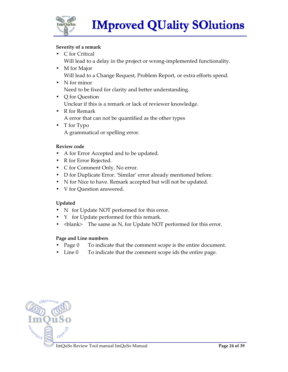

#### **Severity of a remark**

- C for Critical Will lead to a delay in the project or wrong-implemented functionality.
- M for Major Will lead to a Change Request, Problem Report, or extra efforts spend.
- N for minor Need to be fixed for clarity and better understanding.
- Q for Question Unclear if this is a remark or lack of reviewer knowledge.
- R for Remark A error that can not be quantified as the other types
- T for Typo A grammatical or spelling error.

#### **Review code**

- A for Error Accepted and to be updated.
- R for Error Rejected.
- C for Comment Only. No error.
- D for Duplicate Error. 'Similar' error already mentioned before.
- N for Nice to have. Remark accepted but will not be updated.
- V for Question answered.

#### **Updated**

- N for Update NOT performed for this error.
- Y for Update performed for this remark.
- $\delta$  The same as N, for Update NOT performed for this error.

#### **Page and Line numbers**

- Page 0 To indicate that the comment scope is the entire document.
- Line  $0$  To indicate that the comment scope ids the entire page.

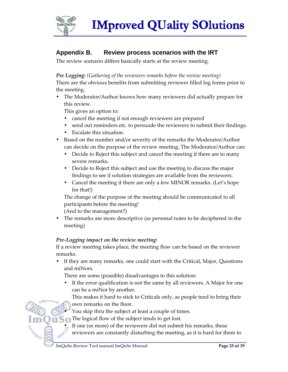

### **Appendix B. Review process scenarios with the IRT**

The review scenario differs basically starts at the review meeting.

*Pre Logging: (Gathering of the reviewers remarks before the review meeting)* 

There are the obvious benefits from submitting reviewer filled log forms prior to the meeting.

• The Moderator/Author knows how many reviewers did actually prepare for this review.

This gives an option to:

- cancel the meeting if not enough reviewers are prepared
- send out reminders etc. to persuade the reviewers to submit their findings.
- Escalate this situation.
- Based on the number and/or severity of the remarks the Moderator/Author can decide on the purpose of the review meeting. The Moderator/Author can:
	- Decide to Reject this subject and cancel the meeting if there are to many severe remarks.
	- Decide to Reject this subject and use the meeting to discuss the major findings to see if solution strategies are available from the reviewers.
	- Cancel the meeting if there are only a few MINOR remarks. (Let's hope for that!)

The change of the purpose of the meeting should be communicated to all participants before the meeting!

(And to the management?)

• The remarks are more descriptive (as personal notes to be deciphered in the meeting)

#### *Pre-Logging impact on the review meeting:*

If a review meeting takes place, the meeting flow can be based on the reviewer remarks.

• If they are many remarks, one could start with the Critical, Major, Questions and miNors.

There are some (possible) disadvantages to this solution:

If the error qualification is not the same by all reviewers. A Major for one can be a miNor by another.

This makes it hard to stick to Criticals only, as people tend to bring their own remarks on the floor.

• You skip thru the subject at least a couple of times.

The logical flow of the subject tends to get lost.

If one (or more) of the reviewers did not submit his remarks, these

reviewers are constantly disturbing the meeting, as it is hard for them to

**M**brov

ASSANDS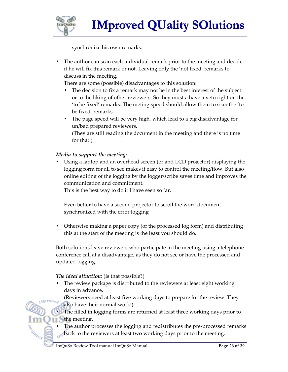

synchronize his own remarks.

• The author can scan each individual remark prior to the meeting and decide if he will fix this remark or not. Leaving only the 'not fixed' remarks to discuss in the meeting.

There are some (possible) disadvantages to this solution:

- The decision to fix a remark may not be in the best interest of the subject or to the liking of other reviewers. So they must a have a veto right on the 'to be fixed' remarks. The meting speed should allow them to scan the 'to be fixed' remarks.
- The page speed will be very high, which lead to a big disadvantage for un/bad prepared reviewers.

(They are still reading the document in the meeting and there is no time for that!)

#### *Media to support the meeting:*

• Using a laptop and an overhead screen (or and LCD projector) displaying the logging form for all to see makes it easy to control the meeting/flow. But also online editing of the logging by the logger/scribe saves time and improves the communication and commitment.

This is the best way to do it I have seen so far.

Even better to have a second projector to scroll the word document synchronized with the error logging

• Otherwise making a paper copy (of the processed log form) and distributing this at the start of the meeting is the least you should do.

Both solutions leave reviewers who participate in the meeting using a telephone conference call at a disadvantage, as they do not see or have the processed and updated logging.

#### *The ideal situation:* (Is that possible?)

 $Mprove<sub>e</sub>$ 

The review package is distributed to the reviewers at least eight working days in advance.

(Reviewers need at least five working days to prepare for the review. They also have their normal work!)

• The filled in logging forms are returned at least three working days prior to the meeting.

The author processes the logging and redistributes the pre-processed remarks back to the reviewers at least two working days prior to the meeting.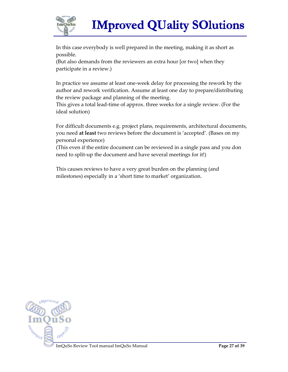

In this case everybody is well prepared in the meeting, making it as short as possible.

(But also demands from the reviewers an extra hour [or two] when they participate in a review.)

In practice we assume at least one-week delay for processing the rework by the author and rework verification. Assume at least one day to prepare/distributing the review package and planning of the meeting.

This gives a total lead-time of approx. three weeks for a single review. (For the ideal solution)

For difficult documents e.g. project plans, requirements, architectural documents, you need **at least** two reviews before the document is 'accepted'. (Bases on my personal experience)

(This even if the entire document can be reviewed in a single pass and you don need to split-up the document and have several meetings for it!)

This causes reviews to have a very great burden on the planning (and milestones) especially in a 'short time to market' organization.

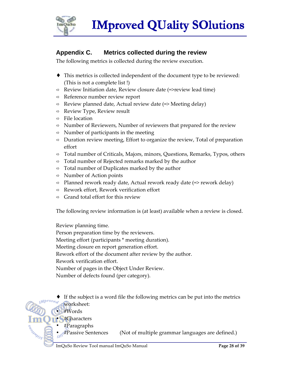

### **Appendix C. Metrics collected during the review**

The following metrics is collected during the review execution.

- ♦ This metrics is collected independent of the document type to be reviewed: (This is not a complete list !)
- $\Rightarrow$  Review Initiation date, Review closure date (=>review lead time)
- $\Rightarrow$  Reference number review report
- $\Rightarrow$  Review planned date, Actual review date (=> Meeting delay)
- $\Rightarrow$  Review Type, Review result
- $\Rightarrow$  File location
- $\Rightarrow$  Number of Reviewers, Number of reviewers that prepared for the review
- $\Rightarrow$  Number of participants in the meeting
- $\Rightarrow$  Duration review meeting, Effort to organize the review, Total of preparation effort
- $\Rightarrow$  Total number of Criticals, Majors, minors, Questions, Remarks, Typos, others
- $\Rightarrow$  Total number of Rejected remarks marked by the author
- $\Rightarrow$  Total number of Duplicates marked by the author
- $\Rightarrow$  Number of Action points
- $\Rightarrow$  Planned rework ready date, Actual rework ready date (=> rework delay)
- $\Rightarrow$  Rework effort, Rework verification effort
- Grand total effort for this review

The following review information is (at least) available when a review is closed.

Review planning time.

Person preparation time by the reviewers.

Meeting effort (participants \* meeting duration).

Meeting closure en report generation effort.

Rework effort of the document after review by the author.

Rework verification effort.

Number of pages in the Object Under Review.

Number of defects found (per category).

- If the subject is a word file the following metrics can be put into the metrics worksheet:
	- #Words

ACAMADS

- #Characters
- #Paragraphs
	- #Passive Sentences (Not of multiple grammar languages are defined.)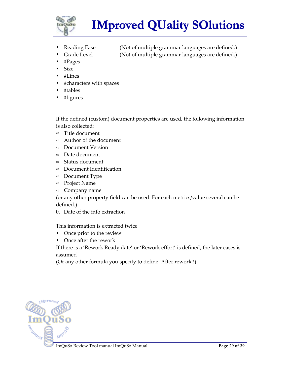

Reading Ease (Not of multiple grammar languages are defined.) Grade Level (Not of multiple grammar languages are defined.)

- 
- #Pages
- Size
- #Lines
- #characters with spaces
- #tables
- #figures

If the defined (custom) document properties are used, the following information is also collected:

- $\Rightarrow$  Title document
- $\Rightarrow$  Author of the document
- Document Version
- $\Rightarrow$  Date document
- $\Rightarrow$  Status document
- $\Rightarrow$  Document Identification
- $\Rightarrow$  Document Type
- $\Rightarrow$  Project Name
- $\Rightarrow$  Company name

(or any other property field can be used. For each metrics/value several can be defined.)

0. Date of the info extraction

This information is extracted twice

- Once prior to the review
- Once after the rework

If there is a 'Rework Ready date' or 'Rework effort' is defined, the later cases is assumed

(Or any other formula you specify to define 'After rework'!)

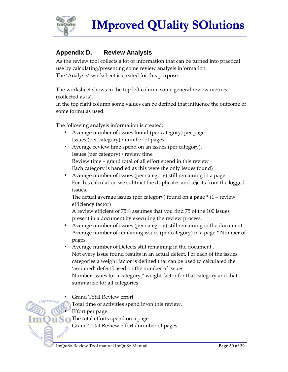

### **Appendix D. Review Analysis**

As the review tool collects a lot of information that can be turned into practical use by calculating/presenting some review analysis information. The 'Analysis' worksheet is created for this purpose.

The worksheet shows in the top left column some general review metrics (collected as is).

In the top right column some values can be defined that influence the outcome of some formulas used.

The following analysis information is created:

- Average number of issues found (per category) per page Issues (per category) / number of pages
- Average review time spend on an issues (per category). Issues (per category) / review time Review time = grand total of all effort spend in this review Each category is handled as this were the only issues found)

• Average number of issues (per category) still remaining in a page. For this calculation we subtract the duplicates and rejects from the logged

issues.

The actual average issues (per category) found on a page  $*(1 -$  review efficiency factor)

A review efficient of 75% assumes that you find 75 of the 100 issues present in a document by executing the review process.

- Average number of issues (per category) still remaining in the document. Average number of remaining issues (per category) in a page \* Number of pages.
- Average number of Defects still remaining in the document.. Not every issue found results in an actual defect. For each of the issues categories a weight factor is defined that can be used to calculated the 'assumed' defect based on the number of issues. Number issues for a category \* weight factor for that category and that

summarize for all categories.

• Grand Total Review effort

Total time of activities spend in/on this review.

Effort per page.

Sumo

ARIANDS

The total efforts spend on a page.

Grand Total Review effort / number of pages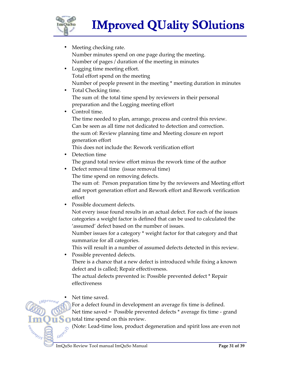

- Meeting checking rate. Number minutes spend on one page during the meeting. Number of pages / duration of the meeting in minutes
- Logging time meeting effort. Total effort spend on the meeting Number of people present in the meeting \* meeting duration in minutes
- Total Checking time. The sum of: the total time spend by reviewers in their personal preparation and the Logging meeting effort
- Control time.

The time needed to plan, arrange, process and control this review. Can be seen as all time not dedicated to detection and correction. the sum of: Review planning time and Meeting closure en report generation effort

This does not include the: Rework verification effort

• Detection time

The grand total review effort minus the rework time of the author

• Defect removal time (issue removal time)

The time spend on removing defects.

The sum of: Person preparation time by the reviewers and Meeting effort and report generation effort and Rework effort and Rework verification effort

• Possible document defects.

Not every issue found results in an actual defect. For each of the issues categories a weight factor is defined that can be used to calculated the 'assumed' defect based on the number of issues.

Number issues for a category \* weight factor for that category and that summarize for all categories.

This will result in a number of assumed defects detected in this review. • Possible prevented defects.

There is a chance that a new defect is introduced while fixing a known defect and is called; Repair effectiveness.

The actual defects prevented is: Possible prevented defect \* Repair effectiveness

Net time saved.

Mprov.

ARIANDS

Guno

For a defect found in development an average fix time is defined.

Net time saved = Possible prevented defects \* average fix time - grand total time spend on this review.

(Note: Lead-time loss, product degeneration and spirit loss are even not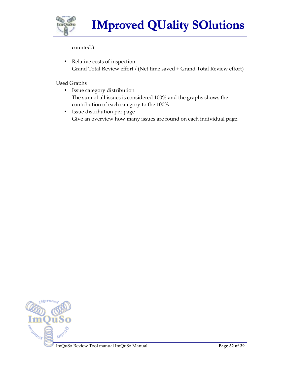

counted.)

• Relative costs of inspection Grand Total Review effort / (Net time saved + Grand Total Review effort)

Used Graphs

- Issue category distribution The sum of all issues is considered 100% and the graphs shows the contribution of each category to the 100%
- Issue distribution per page Give an overview how many issues are found on each individual page.

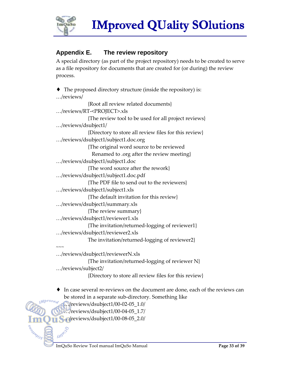

### **Appendix E. The review repository**

A special directory (as part of the project repository) needs to be created to serve as a file repository for documents that are created for (or during) the review process.

```
The proposed directory structure (inside the repository) is:
…/reviews/ 
             {Root all review related documents} 
…/reviews/RT-<PROJECT>.xls 
             {The review tool to be used for all project reviews} 
…/reviews/dsubject1/ 
             {Directory to store all review files for this review} 
…/reviews/dsubject1/subject1.doc.org 
             {The original word source to be reviewed 
                Renamed to .org after the review meeting} 
…/reviews/dsubject1/subject1.doc 
             {The word source after the rework} 
…/reviews/dsubject1/subject1.doc.pdf 
             {The PDF file to send out to the reviewers} 
…/reviews/dsubject1/subject1.xls 
             {The default invitation for this review} 
…/reviews/dsubject1/summary.xls 
             {The review summary} 
…/reviews/dsubject1/reviewer1.xls 
             {The invitation/returned-logging of reviewer1} 
…/reviews/dsubject1/reviewer2.xls 
             The invitation/returned-logging of reviewer2} 
\sim\sim\sim…/reviews/dsubject1/reviewerN.xls 
             {The invitation/returned-logging of reviewer N}
```
…/reviews/subject2/

SOUNDED S

{Directory to store all review files for this review}

♦ In case several re-reviews on the document are done, each of the reviews can be stored in a separate sub-directory. Something like  $Mprove<sub>e</sub>$ 

```
…/reviews/dsubject1/00-02-05_1.0/
```

```
…/reviews/dsubject1/00-04-05_1.7/
```
**1.** ../reviews/dsubject1/00-08-05\_2.0/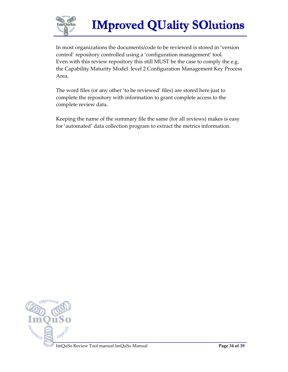

In most organizations the documents/code to be reviewed is stored in 'version control' repository controlled using a 'configuration management' tool. Even with this review repository this still MUST be the case to comply the e.g. the Capability Maturity Model level 2 Configuration Management Key Process Area.

The word files (or any other 'to be reviewed' files) are stored here just to complete the repository with information to grant complete access to the complete review data.

Keeping the name of the summary file the same (for all reviews) makes is easy for 'automated' data collection program to extract the metrics information.

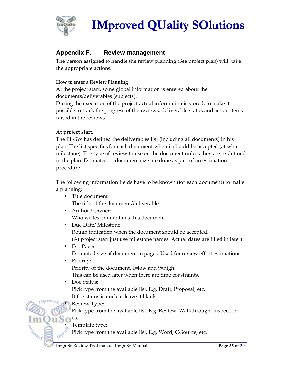

### **Appendix F. Review management**

The person assigned to handle the review planning (See project plan) will take the appropriate actions.

#### **How to enter a Review Planning**

At the project start, some global information is entered about the documents/deliverables (subjects).

During the execution of the project actual information is stored, to make it possible to track the progress of the reviews, deliverable status and action items raised in the reviews

#### **At project start.**

The PL-SW has defined the deliverables list (including all documents) in his plan. The list specifies for each document when it should be accepted (at what milestone). The type of review to use on the document unless they are re-defined in the plan. Estimates on document size are done as part of an estimation procedure.

The following information fields have to be known (for each document) to make a planning:

- Title document: The title of the document/deliverable
- Author / Owner: Who writes or maintains this document.
- Due Date/ Milestone: Rough indication when the document should be accepted. (At project start just use milestone names. Actual dates are filled in later)
- Est. Pages: Estimated size of document in pages. Used for review effort estimations
- Priority: Priority of the document. 1=low and 9=high. This can be used later when there are time constraints.
- Doc Status: Pick type from the available list. E.g. Draft, Proposal, etc. If the status is unclear leave it blank
	- Review Type:

Pick type from the available list. E.g. Review, Walkthrough, Inspection,

• Template type:

etc.

ASSANDS

Pick type from the available list. E.g. Word, C-Source, etc.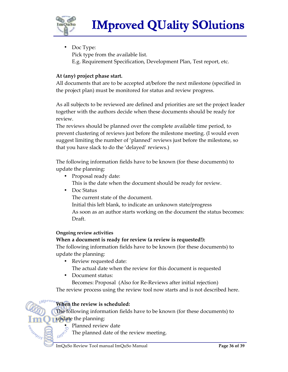

• Doc Type: Pick type from the available list. E.g. Requirement Specification, Development Plan, Test report, etc.

#### **At (any) project phase start.**

All documents that are to be accepted at/before the next milestone (specified in the project plan) must be monitored for status and review progress.

As all subjects to be reviewed are defined and priorities are set the project leader together with the authors decide when these documents should be ready for review.

The reviews should be planned over the complete available time period, to prevent clustering of reviews just before the milestone meeting. (I would even suggest limiting the number of 'planned' reviews just before the milestone, so that you have slack to do the 'delayed' reviews.)

The following information fields have to be known (for these documents) to update the planning:

- Proposal ready date: This is the date when the document should be ready for review.
- Doc Status

The current state of the document.

Initial this left blank, to indicate an unknown state/progress As soon as an author starts working on the document the status becomes: Draft.

#### **Ongoing review activities**

#### **When a document is ready for review (a review is requested!):**

The following information fields have to be known (for these documents) to update the planning:

- Review requested date: The actual date when the review for this document is requested
- Document status:

Becomes: Proposal (Also for Re-Reviews after initial rejection)

The review process using the review tool now starts and is not described here.

#### **When the review is scheduled:**

The following information fields have to be known (for these documents) to update the planning:

Planned review date

SOUNDED S

The planned date of the review meeting.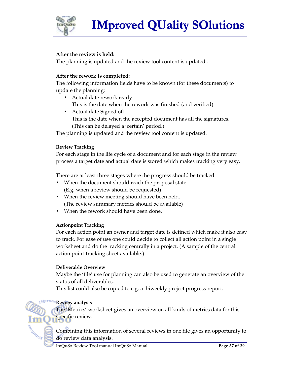

#### **After the review is held:**

The planning is updated and the review tool content is updated..

#### **After the rework is completed:**

The following information fields have to be known (for these documents) to update the planning:

- Actual date rework ready This is the date when the rework was finished (and verified)
- Actual date Signed off This is the date when the accepted document has all the signatures. (This can be delayed a 'certain' period.)

The planning is updated and the review tool content is updated.

#### **Review Tracking**

For each stage in the life cycle of a document and for each stage in the review process a target date and actual date is stored which makes tracking very easy.

There are at least three stages where the progress should be tracked:

- When the document should reach the proposal state. (E.g. when a review should be requested)
- When the review meeting should have been held. (The review summary metrics should be available)
- When the rework should have been done.

#### **Actionpoint Tracking**

For each action point an owner and target date is defined which make it also easy to track. For ease of use one could decide to collect all action point in a single worksheet and do the tracking centrally in a project. (A sample of the central action point-tracking sheet available.)

#### **Deliverable Overview**

Maybe the 'file' use for planning can also be used to generate an overview of the status of all deliverables.

This list could also be copied to e.g. a biweekly project progress report.

#### **Review analysis**

Section Os

The 'Metrics' worksheet gives an overview on all kinds of metrics data for this specific review.

Combining this information of several reviews in one file gives an opportunity to do review data analysis.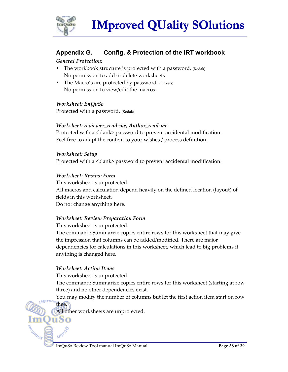

### **Appendix G. Config. & Protection of the IRT workbook**

#### *General Protection:*

- The workbook structure is protected with a password. (Kodak) No permission to add or delete worksheets
- The Macro's are protected by password. (Finkers) No permission to view/edit the macros.

#### *Worksheet: ImQuSo*

Protected with a password. (Kodak)

#### *Worksheet: reviewer\_read-me, Author\_read-me*

Protected with a <br/>blank> password to prevent accidental modification. Feel free to adapt the content to your wishes / process definition.

*Worksheet: Setup*  Protected with a <br />blank> password to prevent accidental modification.

#### *Worksheet: Review Form*

This worksheet is unprotected. All macros and calculation depend heavily on the defined location (layout) of fields in this worksheet. Do not change anything here.

#### *Worksheet: Review Preparation Form*

This worksheet is unprotected.

The command: Summarize copies entire rows for this worksheet that may give the impression that columns can be added/modified. There are major dependencies for calculations in this worksheet, which lead to big problems if anything is changed here.

#### *Worksheet: Action Items*

thee.

ŭSo

Sumo

ARIANOS

This worksheet is unprotected.

The command: Summarize copies entire rows for this worksheet (starting at row three) and no other dependencies exist.

You may modify the number of columns but let the first action item start on row

All other worksheets are unprotected.